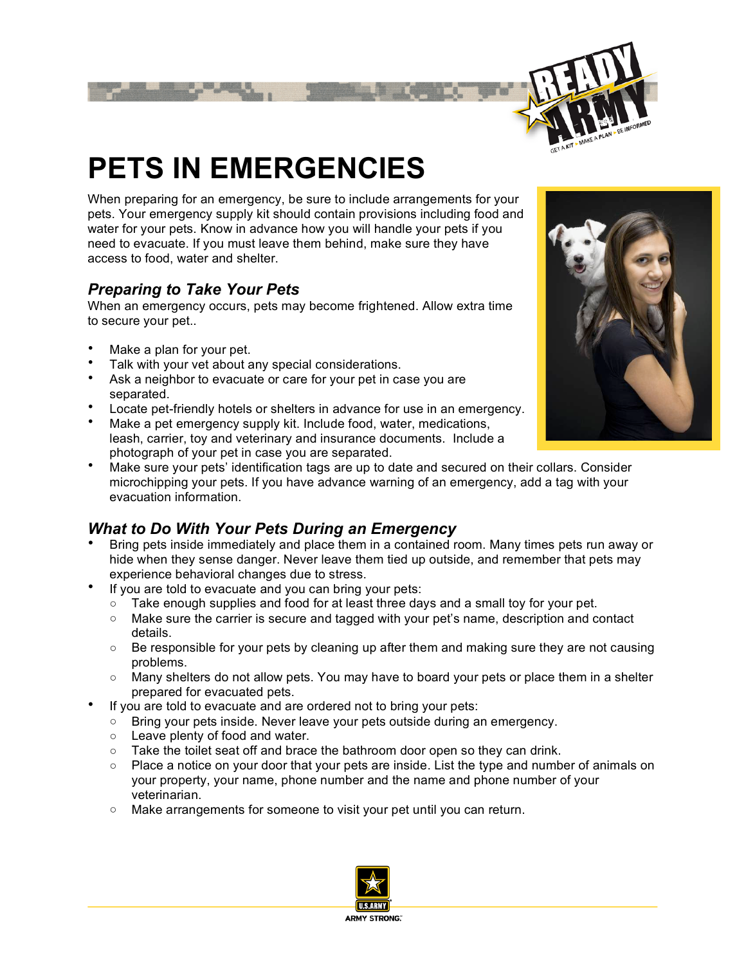

# **PETS IN EMERGENCIES**

When preparing for an emergency, be sure to include arrangements for your pets. Your emergency supply kit should contain provisions including food and water for your pets. Know in advance how you will handle your pets if you need to evacuate. If you must leave them behind, make sure they have access to food, water and shelter.

### *Preparing to Take Your Pets*

When an emergency occurs, pets may become frightened. Allow extra time to secure your pet..

- Make a plan for your pet.
- Talk with your vet about any special considerations.
- Ask a neighbor to evacuate or care for your pet in case you are separated.
- Locate pet-friendly hotels or shelters in advance for use in an emergency.
- Make a pet emergency supply kit. Include food, water, medications, leash, carrier, toy and veterinary and insurance documents. Include a photograph of your pet in case you are separated.



• Make sure your pets' identification tags are up to date and secured on their collars. Consider microchipping your pets. If you have advance warning of an emergency, add a tag with your evacuation information.

## *What to Do With Your Pets During an Emergency*

- Bring pets inside immediately and place them in a contained room. Many times pets run away or hide when they sense danger. Never leave them tied up outside, and remember that pets may experience behavioral changes due to stress.
- If you are told to evacuate and you can bring your pets:
	- Take enough supplies and food for at least three days and a small toy for your pet.
	- Make sure the carrier is secure and tagged with your pet's name, description and contact details.
	- $\circ$  Be responsible for your pets by cleaning up after them and making sure they are not causing problems.
	- Many shelters do not allow pets. You may have to board your pets or place them in a shelter prepared for evacuated pets.
- If you are told to evacuate and are ordered not to bring your pets:
	- Bring your pets inside. Never leave your pets outside during an emergency.
	- Leave plenty of food and water.
	- Take the toilet seat off and brace the bathroom door open so they can drink.
	- Place a notice on your door that your pets are inside. List the type and number of animals on your property, your name, phone number and the name and phone number of your veterinarian.
	- Make arrangements for someone to visit your pet until you can return.